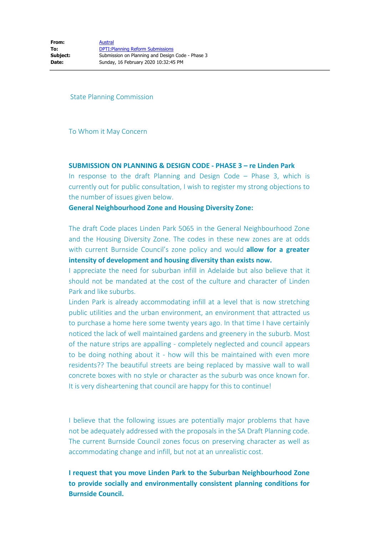State Planning Commission

To Whom it May Concern

### **SUBMISSION ON PLANNING & DESIGN CODE - PHASE 3 – re Linden Park**

In response to the draft Planning and Design Code – Phase 3, which is currently out for public consultation, I wish to register my strong objections to the number of issues given below.

## **General Neighbourhood Zone and Housing Diversity Zone:**

The draft Code places Linden Park 5065 in the General Neighbourhood Zone and the Housing Diversity Zone. The codes in these new zones are at odds with current Burnside Council's zone policy and would **allow for a greater intensity of development and housing diversity than exists now.**

I appreciate the need for suburban infill in Adelaide but also believe that it should not be mandated at the cost of the culture and character of Linden Park and like suburbs.

Linden Park is already accommodating infill at a level that is now stretching public utilities and the urban environment, an environment that attracted us to purchase a home here some twenty years ago. In that time I have certainly noticed the lack of well maintained gardens and greenery in the suburb. Most of the nature strips are appalling - completely neglected and council appears to be doing nothing about it - how will this be maintained with even more residents?? The beautiful streets are being replaced by massive wall to wall concrete boxes with no style or character as the suburb was once known for. It is very disheartening that council are happy for this to continue!

I believe that the following issues are potentially major problems that have not be adequately addressed with the proposals in the SA Draft Planning code. The current Burnside Council zones focus on preserving character as well as accommodating change and infill, but not at an unrealistic cost.

**I request that you move Linden Park to the Suburban Neighbourhood Zone to provide socially and environmentally consistent planning conditions for Burnside Council.**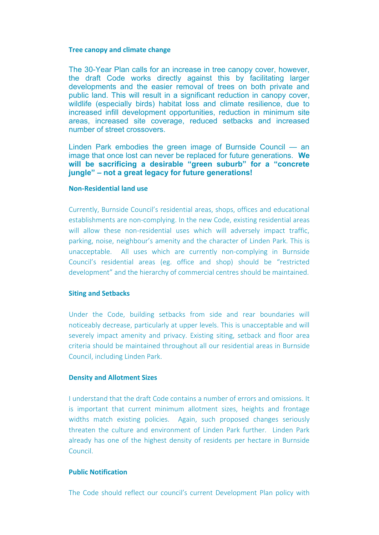#### **Tree canopy and climate change**

The 30-Year Plan calls for an increase in tree canopy cover, however, the draft Code works directly against this by facilitating larger developments and the easier removal of trees on both private and public land. This will result in a significant reduction in canopy cover, wildlife (especially birds) habitat loss and climate resilience, due to increased infill development opportunities, reduction in minimum site areas, increased site coverage, reduced setbacks and increased number of street crossovers.

Linden Park embodies the green image of Burnside Council — an image that once lost can never be replaced for future generations. **We will be sacrificing a desirable "green suburb" for a "concrete jungle" – not a great legacy for future generations!**

#### **Non-Residential land use**

Currently, Burnside Council's residential areas, shops, offices and educational establishments are non-complying. In the new Code, existing residential areas will allow these non-residential uses which will adversely impact traffic, parking, noise, neighbour's amenity and the character of Linden Park. This is unacceptable. All uses which are currently non-complying in Burnside Council's residential areas (eg. office and shop) should be "restricted development" and the hierarchy of commercial centres should be maintained.

### **Siting and Setbacks**

Under the Code, building setbacks from side and rear boundaries will noticeably decrease, particularly at upper levels. This is unacceptable and will severely impact amenity and privacy. Existing siting, setback and floor area criteria should be maintained throughout all our residential areas in Burnside Council, including Linden Park.

### **Density and Allotment Sizes**

I understand that the draft Code contains a number of errors and omissions. It is important that current minimum allotment sizes, heights and frontage widths match existing policies. Again, such proposed changes seriously threaten the culture and environment of Linden Park further. Linden Park already has one of the highest density of residents per hectare in Burnside Council.

## **Public Notification**

The Code should reflect our council's current Development Plan policy with